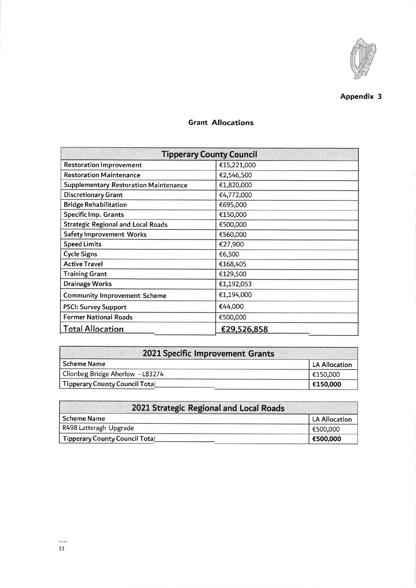

## Appendix 3

| <b>Tipperary County Council</b>              |             |  |  |
|----------------------------------------------|-------------|--|--|
| <b>Restoration Improvement</b>               | €15,221,000 |  |  |
| <b>Restoration Maintenance</b>               | €2,546,500  |  |  |
| <b>Supplementary Restoration Maintenance</b> | €1,820,000  |  |  |
| <b>Discretionary Grant</b>                   | €4,772,000  |  |  |
| <b>Bridge Rehabilitation</b>                 | €695,000    |  |  |
| <b>Specific Imp. Grants</b>                  | €150,000    |  |  |
| <b>Strategic Regional and Local Roads</b>    | €500,000    |  |  |
| <b>Safety Improvement Works</b>              | €560,000    |  |  |
| <b>Speed Limits</b>                          | €27,900     |  |  |
| <b>Cycle Signs</b>                           | €6,500      |  |  |
| <b>Active Travel</b>                         | €168,405    |  |  |
| <b>Training Grant</b>                        | €129,500    |  |  |
| Drainage Works                               | €1,192,053  |  |  |
| <b>Community Improvement Scheme</b>          | €1,194,000  |  |  |
| <b>PSCI: Survey Support</b>                  | €44,000     |  |  |
| <b>Former National Roads</b>                 | €500,000    |  |  |
| <b>Total Allocation</b>                      | €29,526,858 |  |  |

## **Grant Allocations**

| 2021 Specific Improvement Grants |               |  |
|----------------------------------|---------------|--|
| Scheme Name                      | LA Allocation |  |
| Clionbeg Bridge Aherlow - L83274 | €150,000      |  |
| Tipperary County Council TotaL   | €150,000      |  |

| 2021 Strategic Regional and Local Roads |               |  |
|-----------------------------------------|---------------|--|
| l Scheme Name                           | LA Allocation |  |
| R498 Latteragh Upgrade                  | 1€500.000     |  |
| Tipperary County Council Total          | €500,000      |  |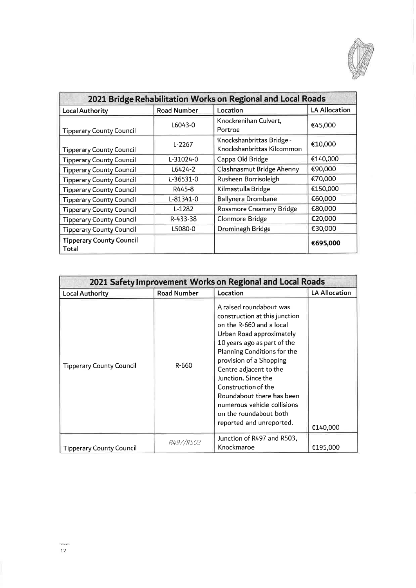

| 2021 Bridge Rehabilitation Works on Regional and Local Roads |                    |                                                         |                      |
|--------------------------------------------------------------|--------------------|---------------------------------------------------------|----------------------|
| <b>Local Authority</b>                                       | <b>Road Number</b> | Location                                                | <b>LA Allocation</b> |
| <b>Tipperary County Council</b>                              | L6043-0            | Knockrenihan Culvert,<br>Portroe                        | €45,000              |
| <b>Tipperary County Council</b>                              | $L-2267$           | Knockshanbrittas Bridge -<br>Knockshanbrittas Kilcommon | €10,000              |
| <b>Tipperary County Council</b>                              | L-31024-0          | Cappa Old Bridge                                        | €140,000             |
| <b>Tipperary County Council</b>                              | L6424-2            | Clashnasmut Bridge Ahenny                               | €90,000              |
| <b>Tipperary County Council</b>                              | L-36531-0          | Rusheen Borrisoleigh                                    | €70,000              |
| <b>Tipperary County Council</b>                              | R445-8             | Kilmastulla Bridge                                      | €150,000             |
| <b>Tipperary County Council</b>                              | L-81341-0          | <b>Ballynera Drombane</b>                               | €60,000              |
| <b>Tipperary County Council</b>                              | L-1282             | <b>Rossmore Creamery Bridge</b>                         | €80,000              |
| <b>Tipperary County Council</b>                              | R-433-38           | Clonmore Bridge                                         | €20,000              |
| <b>Tipperary County Council</b>                              | L5080-0            | Drominagh Bridge                                        | €30,000              |
| <b>Tipperary County Council</b><br>Total                     |                    |                                                         | €695,000             |

| 2021 Safety Improvement Works on Regional and Local Roads |                    |                                                                                                                                                                                                                                                                                                                                                                                                     |                      |
|-----------------------------------------------------------|--------------------|-----------------------------------------------------------------------------------------------------------------------------------------------------------------------------------------------------------------------------------------------------------------------------------------------------------------------------------------------------------------------------------------------------|----------------------|
| <b>Local Authority</b>                                    | <b>Road Number</b> | Location                                                                                                                                                                                                                                                                                                                                                                                            | <b>LA Allocation</b> |
| <b>Tipperary County Council</b>                           | R-660              | A raised roundabout was<br>construction at this junction<br>on the R-660 and a local<br>Urban Road approximately<br>10 years ago as part of the<br>Planning Conditions for the<br>provision of a Shopping<br>Centre adjacent to the<br>Junction. Since the<br>Construction of the<br>Roundabout there has been<br>numerous vehicle collisions<br>on the roundabout both<br>reported and unreported. | €140,000             |
| Tipperary County Council                                  | <i>R497/R503</i>   | Junction of R497 and R503,<br>Knockmaroe                                                                                                                                                                                                                                                                                                                                                            | €195,000             |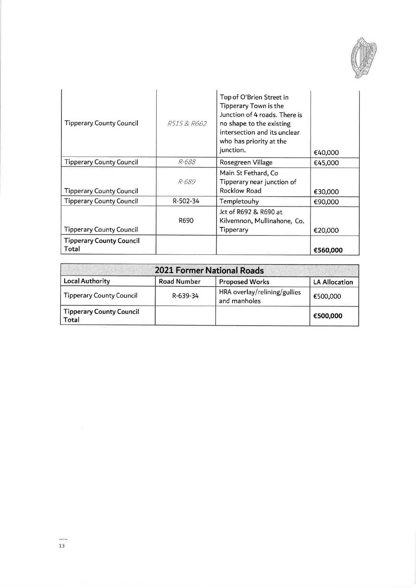

| <b>Tipperary County Council</b>          | R515 & R662 | Top of O'Brien Street in<br>Tipperary Town is the<br>Junction of 4 roads. There is<br>no shape to the existing<br>intersection and its unclear<br>who has priority at the<br>junction. | €40,000  |
|------------------------------------------|-------------|----------------------------------------------------------------------------------------------------------------------------------------------------------------------------------------|----------|
| Tipperary County Council                 | R-688       | Rosegreen Village                                                                                                                                                                      | €45.000  |
| Tipperary County Council                 | R-689       | Main St Fethard, Co<br>Tipperary near junction of<br>Rocklow Road                                                                                                                      | €30,000  |
| Tipperary County Council                 | R-502-34    | Templetouhy                                                                                                                                                                            | €90,000  |
| <b>Tipperary County Council</b>          | R690        | Jct of R692 & R690 at<br>Kilvemnon, Mullinahone, Co.<br>Tipperary                                                                                                                      | €20,000  |
| <b>Tipperary County Council</b><br>Total |             |                                                                                                                                                                                        | €560,000 |

| <b>2021 Former National Roads</b>        |                    |                                              |                      |
|------------------------------------------|--------------------|----------------------------------------------|----------------------|
| <b>Local Authority</b>                   | <b>Road Number</b> | <b>Proposed Works</b>                        | <b>LA Allocation</b> |
| <b>Tipperary County Council</b>          | R-639-34           | HRA overlay/relining/gullies<br>and manholes | €500,000             |
| <b>Tipperary County Council</b><br>Total |                    |                                              | €500,000             |